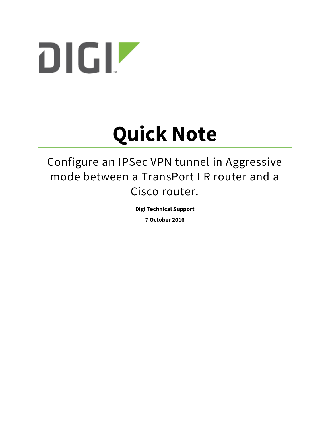

# **Quick Note**

Configure an IPSec VPN tunnel in Aggressive mode between a TransPort LR router and a Cisco router.

**Digi Technical Support**

**7 October 2016**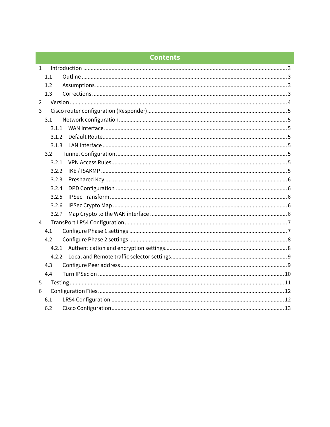# **Contents**

| $\mathbf{1}$   |       |  |  |  |  |
|----------------|-------|--|--|--|--|
|                | 1.1   |  |  |  |  |
|                | 1.2   |  |  |  |  |
|                | 1.3   |  |  |  |  |
| $\overline{2}$ |       |  |  |  |  |
| 3              |       |  |  |  |  |
|                | 3.1   |  |  |  |  |
|                | 3.1.1 |  |  |  |  |
|                | 3.1.2 |  |  |  |  |
|                | 3.1.3 |  |  |  |  |
|                | 3.2   |  |  |  |  |
|                | 3.2.1 |  |  |  |  |
|                | 3.2.2 |  |  |  |  |
|                | 3.2.3 |  |  |  |  |
|                | 3.2.4 |  |  |  |  |
|                | 3.2.5 |  |  |  |  |
|                | 3.2.6 |  |  |  |  |
|                | 3.2.7 |  |  |  |  |
| $\overline{4}$ |       |  |  |  |  |
|                | 4.1   |  |  |  |  |
|                | 4.2   |  |  |  |  |
|                | 4.2.1 |  |  |  |  |
|                | 4.2.2 |  |  |  |  |
|                | 4.3   |  |  |  |  |
|                | 4.4   |  |  |  |  |
| 5              |       |  |  |  |  |
| 6              |       |  |  |  |  |
|                | 6.1   |  |  |  |  |
|                | 6.2   |  |  |  |  |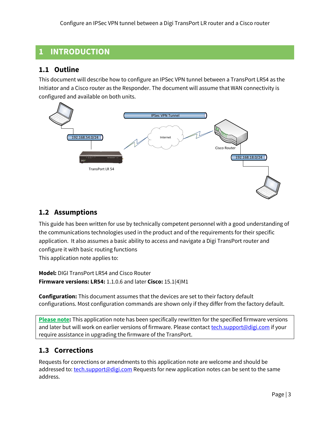# <span id="page-2-0"></span>**1 INTRODUCTION**

#### <span id="page-2-1"></span>**1.1 Outline**

This document will describe how to configure an IPSec VPN tunnel between a TransPort LR54 as the Initiator and a Cisco router as the Responder. The document will assume that WAN connectivity is configured and available on both units.



#### <span id="page-2-2"></span>**1.2 Assumptions**

This guide has been written for use by technically competent personnel with a good understanding of the communications technologies used in the product and of the requirements for their specific application. It also assumes a basic ability to access and navigate a Digi TransPort router and configure it with basic routing functions This application note applies to:

**Model:** DIGI TransPort LR54 and Cisco Router **Firmware versions: LR54:** 1.1.0.6 and later **Cisco:** 15.1(4)M1

**Configuration:** This document assumes that the devices are set to their factory default configurations. Most configuration commands are shown only if they differ from the factory default.

**Please note:** This application note has been specifically rewritten for the specified firmware versions and later but will work on earlier versions of firmware. Please contact [tech.support@digi.com](mailto:tech.support@digi.com) if your require assistance in upgrading the firmware of the TransPort.

# <span id="page-2-3"></span>**1.3 Corrections**

Requests for corrections or amendments to this application note are welcome and should be addressed to: [tech.support@digi.com](mailto:tech.support@digi.com) Requests for new application notes can be sent to the same address.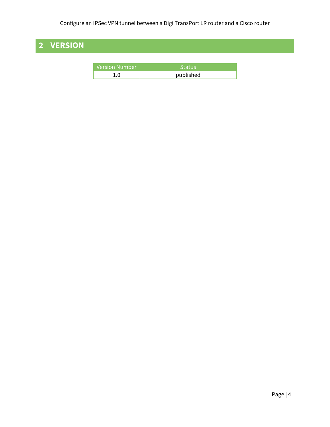# <span id="page-3-0"></span>**2 VERSION**

| <b>Version Number</b> | 'Status   |  |
|-----------------------|-----------|--|
| 1 ∩                   | published |  |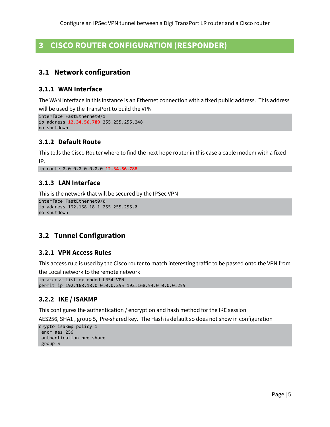# <span id="page-4-0"></span>**3 CISCO ROUTER CONFIGURATION (RESPONDER)**

#### <span id="page-4-1"></span>**3.1 Network configuration**

#### <span id="page-4-2"></span>**3.1.1 WAN Interface**

The WAN interface in this instance is an Ethernet connection with a fixed public address. This address will be used by the TransPort to build the VPN

```
interface FastEthernet0/1
ip address 12.34.56.789 255.255.255.248
no shutdown
```
#### <span id="page-4-3"></span>**3.1.2 Default Route**

This tells the Cisco Router where to find the next hope router in this case a cable modem with a fixed IP.

```
ip route 0.0.0.0 0.0.0.0 12.34.56.788
```
#### **3.1.3 LAN Interface**

This is the network that will be secured by the IPSec VPN

```
interface FastEthernet0/0
ip address 192.168.18.1 255.255.255.0
no shutdown
```
# <span id="page-4-5"></span>**3.2 Tunnel Configuration**

#### <span id="page-4-6"></span>**3.2.1 VPN Access Rules**

This access rule is used by the Cisco router to match interesting traffic to be passed onto the VPN from the Local network to the remote network

```
ip access-list extended LR54-VPN
permit ip 192.168.18.0 0.0.0.255 192.168.54.0 0.0.0.255
```
#### <span id="page-4-7"></span>**3.2.2 IKE / ISAKMP**

This configures the authentication / encryption and hash method for the IKE session

AES256, SHA1 , group 5, Pre-shared key. The Hash is default so does not show in configuration

```
crypto isakmp policy 1
encr aes 256
authentication pre-share
group 5
```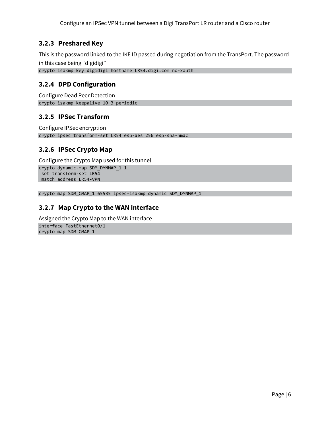#### <span id="page-5-0"></span>**3.2.3 Preshared Key**

This is the password linked to the IKE ID passed during negotiation from the TransPort. The password in this case being "digidigi"

```
crypto isakmp key digidigi hostname LR54.digi.com no-xauth
```
#### **3.2.4 DPD Configuration**

Configure Dead Peer Detection crypto isakmp keepalive 10 3 periodic

#### <span id="page-5-2"></span>**3.2.5 IPSec Transform**

Configure IPSec encryption crypto ipsec transform-set LR54 esp-aes 256 esp-sha-hmac

#### <span id="page-5-3"></span>**3.2.6 IPSec Crypto Map**

Configure the Crypto Map used for this tunnel crypto dynamic-map SDM\_DYNMAP\_1 1 set transform-set LR54 match address LR54-VPN

<span id="page-5-4"></span>crypto map SDM\_CMAP\_1 65535 ipsec-isakmp dynamic SDM\_DYNMAP\_1

#### **3.2.7 Map Crypto to the WAN interface**

Assigned the Crypto Map to the WAN interface interface FastEthernet0/1 crypto map SDM\_CMAP\_1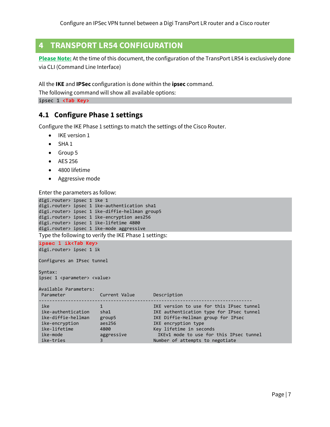# <span id="page-6-0"></span>**4 TRANSPORT LR54 CONFIGURATION**

**Please Note:** At the time of this document, the configuration of the TransPort LR54 is exclusively done via CLI (Command Line Interface)

All the **IKE** and **IPSec** configuration is done within the **ipsec** command.

The following command will show all available options:

<span id="page-6-1"></span>ipsec 1 **<Tab Key>**

#### **4.1 Configure Phase 1 settings**

Configure the IKE Phase 1 settings to match the settings of the Cisco Router.

- IKE version 1
- $\bullet$  SHA 1
- Group 5
- AES 256
- 4800 lifetime
- Aggressive mode

Enter the parameters as follow:

```
digi.router> ipsec 1 ike 1
digi.router> ipsec 1 ike-authentication sha1
digi.router> ipsec 1 ike-diffie-hellman group5
digi.router> ipsec 1 ike-encryption aes256
digi.router> ipsec 1 ike-lifetime 4800
digi.router> ipsec 1 ike-mode aggressive
Type the following to verify the IKE Phase 1 settings:
```
**ipsec 1 ik<Tab Key>** digi.router> ipsec 1 ik

Configures an IPsec tunnel

Syntax: ipsec 1 <parameter> <value>

Available Parameters:

| Parameter                                                                                                  | Current Value                                       | Description                                                                                                                                                                                                                                                |  |
|------------------------------------------------------------------------------------------------------------|-----------------------------------------------------|------------------------------------------------------------------------------------------------------------------------------------------------------------------------------------------------------------------------------------------------------------|--|
| ike<br>ike-authentication<br>ike-diffie-hellman<br>ike-encryption<br>ike-lifetime<br>ike-mode<br>ike-tries | sha1<br>group5<br>aes256<br>4800<br>aggressive<br>3 | IKE version to use for this IPsec tunnel<br>IKE authentication type for IPsec tunnel<br>IKE Diffie-Hellman group for IPsec<br>IKE encryption type<br>Key lifetime in seconds<br>IKEv1 mode to use for this IPsec tunnel<br>Number of attempts to negotiate |  |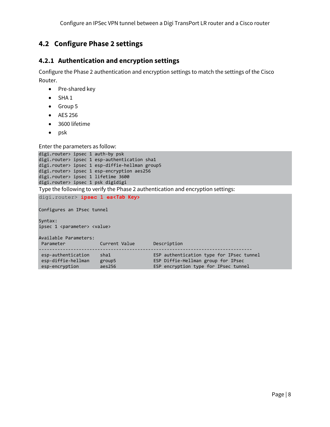# <span id="page-7-0"></span>**4.2 Configure Phase 2 settings**

#### <span id="page-7-1"></span>**4.2.1 Authentication and encryption settings**

Configure the Phase 2 authentication and encryption settings to match the settings of the Cisco Router.

- Pre-shared key
- $\bullet$  SHA 1
- Group 5
- AES 256
- 3600 lifetime
- $\bullet$  psk

Enter the parameters as follow:

```
digi.router> ipsec 1 auth-by psk
digi.router> ipsec 1 esp-authentication sha1
digi.router> ipsec 1 esp-diffie-hellman group5
digi.router> ipsec 1 esp-encryption aes256
digi.router> ipsec 1 lifetime 3600
digi.router> ipsec 1 psk digidigi
Type the following to verify the Phase 2 authentication and encryption settings:
```
digi.router> **ipsec 1 es<Tab Key>**

Configures an IPsec tunnel

Syntax: ipsec 1 <parameter> <value>

| Available Parameters:<br>Parameter | Current Value | Description                              |  |
|------------------------------------|---------------|------------------------------------------|--|
| esp-authentication                 | sha1          | ESP authentication type for IPsec tunnel |  |
| esp-diffie-hellman                 | group5        | ESP Diffie-Hellman group for IPsec       |  |
| esp-encryption                     | aes256        | ESP encryption type for IPsec tunnel     |  |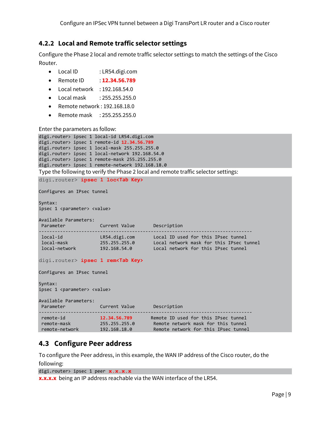#### <span id="page-8-0"></span>**4.2.2 Local and Remote traffic selector settings**

Configure the Phase 2 local and remote traffic selector settings to match the settings of the Cisco Router.

- Local ID : LR54.digi.com
- Remote ID : **12.34.56.789**
- $\bullet$  Local network : 192.168.54.0
- Local mask : 255.255.255.0
- Remote network : 192.168.18.0
- Remote mask : 255.255.255.0

Enter the parameters as follow:

```
digi.router> ipsec 1 local-id LR54.digi.com
digi.router> ipsec 1 remote-id 12.34.56.789
digi.router> ipsec 1 local-mask 255.255.255.0
digi.router> ipsec 1 local-network 192.168.54.0
digi.router> ipsec 1 remote-mask 255.255.255.0
digi.router> ipsec 1 remote-network 192.168.18.0
```
Type the following to verify the Phase 2 local and remote traffic selector settings:

```
digi.router> ipsec 1 loc<Tab Key>
Configures an IPsec tunnel
Syntax:
ipsec 1 <parameter> <value>
Available Parameters:
Parameter Current Value Description
--------------------------------------------------------------------------------
 local-id LR54.digi.com Local ID used for this IPsec tunnel
 local-mask 255.255.255.0 Local network mask for this IPsec tunnel
 local-network 192.168.54.0 Local network for this IPsec tunnel
digi.router> ipsec 1 rem<Tab Key>
Configures an IPsec tunnel
Syntax:
ipsec 1 <parameter> <value>
Available Parameters:
Parameter Current Value Description
--------------------------------------------------------------------------------
 remote-id 12.34.56.789 Remote ID used for this IPsec tunnel
 remote-mask 255.255.255.0 Remote network mask for this tunnel
 remote-network 192.168.18.0 Remote network for this IPsec tunnel
```
#### <span id="page-8-1"></span>**4.3 Configure Peer address**

To configure the Peer address, in this example, the WAN IP address of the Cisco router, do the following:

```
digi.router> ipsec 1 peer x.x.x.x
```
**x.x.x.x** being an IP address reachable via the WAN interface of the LR54.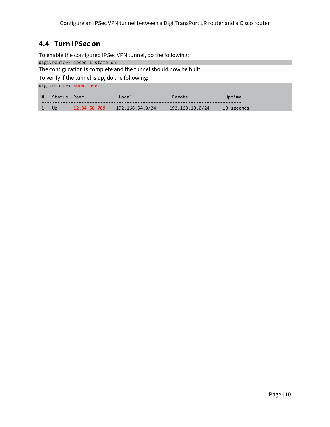#### <span id="page-9-0"></span>**4.4 Turn IPSec on**

To enable the configured IPSec VPN tunnel, do the following:

digi.router> ipsec 1 state on

The configuration is complete and the tunnel should now be built.

To verify if the tunnel is up, do the following:

digi.router> **show ipsec**

|      | # Status Peer |              | ocal            | Remote          | Uptime     |
|------|---------------|--------------|-----------------|-----------------|------------|
| 1 Up |               | 12.34.56.789 | 192.168.54.0/24 | 192.168.18.0/24 | 10 seconds |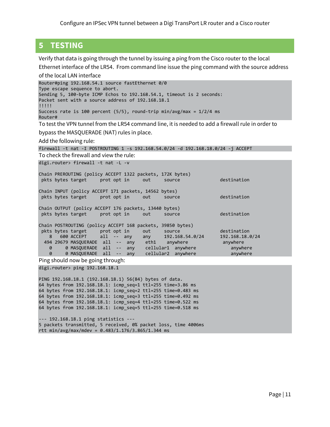# <span id="page-10-0"></span>**5 TESTING**

Verify that data is going through the tunnel by issuing a ping from the Cisco router to the local Ethernet interface of the LR54. From command line issue the ping command with the source address

of the local LAN interface Router#ping 192.168.54.1 source fastEthernet 0/0 Type escape sequence to abort. Sending 5, 100-byte ICMP Echos to 192.168.54.1, timeout is 2 seconds: Packet sent with a source address of 192.168.18.1 !!!!! Success rate is 100 percent (5/5), round-trip min/avg/max = 1/2/4 ms Router# To test the VPN tunnel from the LR54 command line, it is needed to add a firewall rule in order to bypass the MASQUERADE (NAT) rules in place. Add the following rule: firewall -t nat -I POSTROUTING 1 -s 192.168.54.0/24 -d 192.168.18.0/24 -j ACCEPT To check the firewall and view the rule: digi.router> firewall -t nat -L -v Chain PREROUTING (policy ACCEPT 1322 packets, 172K bytes) pkts bytes target prot opt in out source destination Chain INPUT (policy ACCEPT 171 packets, 14562 bytes) pkts bytes target prot opt in out source destination Chain OUTPUT (policy ACCEPT 176 packets, 13440 bytes) pkts bytes target prot opt in out source destination

Chain POSTROUTING (policy ACCEPT 168 packets, 39850 bytes)<br>pkts bytes target prot opt in out source<br>8 600 ACCEPT all -- any any 192 168 54 0/2 pkts bytes target prot opt in out source destination 8 600 ACCEPT all -- any any 192.168.54.0/24 192.168.18.0/24 494 29679 MASQUERADE all -- any eth1 anywhere anywhere 0 0 MASQUERADE all -- any cellular1 anywhere anywhere 0 0 MASQUERADE all -- any cellular1 anywhere anywhere anywhere<br>0 0 MASQUERADE all -- any cellular2 anywhere anywhere

Ping should now be going through:

digi.router> ping 192.168.18.1

PING 192.168.18.1 (192.168.18.1) 56(84) bytes of data. 64 bytes from 192.168.18.1: icmp\_seq=1 ttl=255 time=3.86 ms 64 bytes from 192.168.18.1: icmp\_seq=2 ttl=255 time=0.483 ms 64 bytes from 192.168.18.1: icmp\_seq=3 ttl=255 time=0.492 ms 64 bytes from 192.168.18.1: icmp\_seq=4 ttl=255 time=0.522 ms 64 bytes from 192.168.18.1: icmp\_seq=5 ttl=255 time=0.518 ms

--- 192.168.18.1 ping statistics --- 5 packets transmitted, 5 received, 0% packet loss, time 4006ms rtt min/avg/max/mdev = 0.483/1.176/3.865/1.344 ms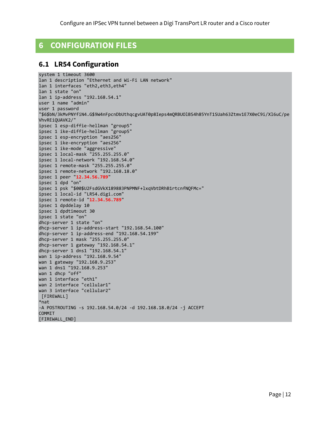# <span id="page-11-0"></span>**6 CONFIGURATION FILES**

#### <span id="page-11-1"></span>**6.1 LR54 Configuration**

```
system 1 timeout 3600
lan 1 description "Ethernet and Wi-Fi LAN network"
lan 1 interfaces "eth2,eth3,eth4"
lan 1 state "on"
lan 1 ip-address "192.168.54.1"
user 1 name "admin"
user 1 password 
"$6$bN/3kMvPNYfiN4.G$9W4nFpcnDbUthqcgvUAT0p8Ieps4mQRBUOlBS4h85YnT1SUah63Ztmv1E7X0eC9i/Xl6uC/pe
VhvREiQUAVK2/"
ipsec 1 esp-diffie-hellman "group5"
ipsec 1 ike-diffie-hellman "group5"
ipsec 1 esp-encryption "aes256"
ipsec 1 ike-encryption "aes256"
ipsec 1 ike-mode "aggressive"
ipsec 1 local-mask "255.255.255.0"
ipsec 1 local-network "192.168.54.0"
ipsec 1 remote-mask "255.255.255.0"
ipsec 1 remote-network "192.168.18.0"
ipsec 1 peer "12.34.56.789"
ipsec 1 dpd "on"
ipsec 1 psk "$00$U2FsdGVkX189883PNPMNF+lxqVbtDRhB1rtcnfNQFMc="
ipsec 1 local-id "LR54.digi.com"
ipsec 1 remote-id "12.34.56.789"
ipsec 1 dpddelay 10
ipsec 1 dpdtimeout 30
ipsec 1 state "on"
dhcp-server 1 state "on"
dhcp-server 1 ip-address-start "192.168.54.100"
dhcp-server 1 ip-address-end "192.168.54.199"
dhcp-server 1 mask "255.255.255.0"
dhcp-server 1 gateway "192.168.54.1"
dhcp-server 1 dns1 "192.168.54.1"
wan 1 ip-address "192.168.9.54"
wan 1 gateway "192.168.9.253"
wan 1 dns1 "192.168.9.253"
wan 1 dhcp "off"
wan 1 interface "eth1"
wan 2 interface "cellular1"
wan 3 interface "cellular2"
[FIREWALL]
*nat
-A POSTROUTING -s 192.168.54.0/24 -d 192.168.18.0/24 -j ACCEPT
COMMIT
[FIREWALL_END]
```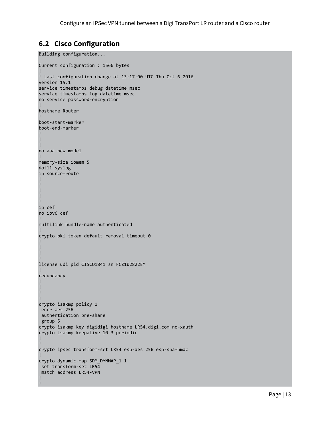# <span id="page-12-0"></span>**6.2 Cisco Configuration**

!

```
Building configuration...
Current configuration : 1566 bytes
!
! Last configuration change at 13:17:00 UTC Thu Oct 6 2016
version 15.1
service timestamps debug datetime msec
service timestamps log datetime msec
no service password-encryption
!
hostname Router
!
boot-start-marker
boot-end-marker
!
!
!
no aaa new-model
!
memory-size iomem 5
dot11 syslog
ip source-route
!
!
!
!
!
ip cef
no ipv6 cef
!
multilink bundle-name authenticated
!
crypto pki token default removal timeout 0
!
!
!
!
license udi pid CISCO1841 sn FCZ102822EM
!
redundancy
!
!
!
!
crypto isakmp policy 1
encr aes 256
authentication pre-share
group 5
crypto isakmp key digidigi hostname LR54.digi.com no-xauth
crypto isakmp keepalive 10 3 periodic
!
!
crypto ipsec transform-set LR54 esp-aes 256 esp-sha-hmac
!
crypto dynamic-map SDM_DYNMAP_1 1
set transform-set LR54
match address LR54-VPN
!
```